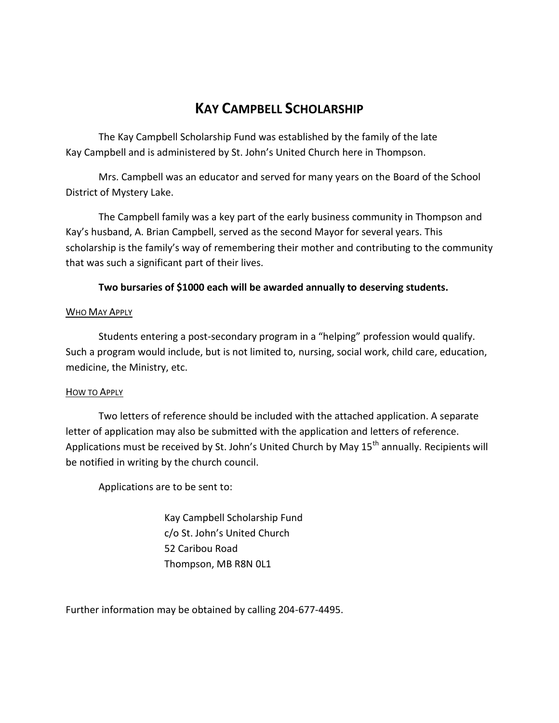## **KAY CAMPBELL SCHOLARSHIP**

The Kay Campbell Scholarship Fund was established by the family of the late Kay Campbell and is administered by St. John's United Church here in Thompson.

Mrs. Campbell was an educator and served for many years on the Board of the School District of Mystery Lake.

The Campbell family was a key part of the early business community in Thompson and Kay's husband, A. Brian Campbell, served as the second Mayor for several years. This scholarship is the family's way of remembering their mother and contributing to the community that was such a significant part of their lives.

**Two bursaries of \$1000 each will be awarded annually to deserving students.**

## WHO MAY APPLY

Students entering a post-secondary program in a "helping" profession would qualify. Such a program would include, but is not limited to, nursing, social work, child care, education, medicine, the Ministry, etc.

## HOW TO APPLY

Two letters of reference should be included with the attached application. A separate letter of application may also be submitted with the application and letters of reference. Applications must be received by St. John's United Church by May 15<sup>th</sup> annually. Recipients will be notified in writing by the church council.

Applications are to be sent to:

Kay Campbell Scholarship Fund c/o St. John's United Church 52 Caribou Road Thompson, MB R8N 0L1

Further information may be obtained by calling 204-677-4495.